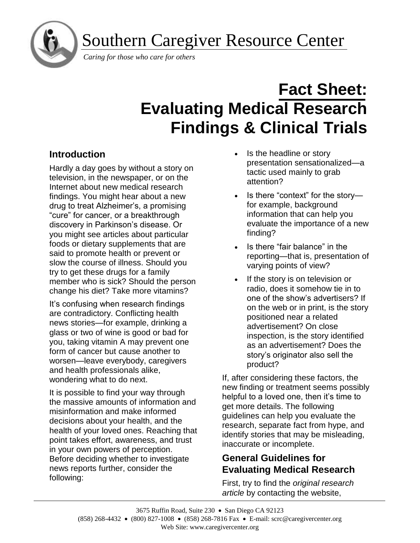ì

Southern Caregiver Resource Center

*Caring for those who care for others*

# **Fact Sheet: Evaluating Medical Research Findings & Clinical Trials**

# **Introduction**

Hardly a day goes by without a story on television, in the newspaper, or on the Internet about new medical research findings. You might hear about a new drug to treat Alzheimer's, a promising "cure" for cancer, or a breakthrough discovery in Parkinson's disease. Or you might see articles about particular foods or dietary supplements that are said to promote health or prevent or slow the course of illness. Should you try to get these drugs for a family member who is sick? Should the person change his diet? Take more vitamins?

It's confusing when research findings are contradictory. Conflicting health news stories—for example, drinking a glass or two of wine is good or bad for you, taking vitamin A may prevent one form of cancer but cause another to worsen—leave everybody, caregivers and health professionals alike, wondering what to do next.

It is possible to find your way through the massive amounts of information and misinformation and make informed decisions about your health, and the health of your loved ones. Reaching that point takes effort, awareness, and trust in your own powers of perception. Before deciding whether to investigate news reports further, consider the following:

- Is the headline or story presentation sensationalized—a tactic used mainly to grab attention?
- Is there "context" for the storyfor example, background information that can help you evaluate the importance of a new finding?
- Is there "fair balance" in the reporting—that is, presentation of varying points of view?
- If the story is on television or radio, does it somehow tie in to one of the show's advertisers? If on the web or in print, is the story positioned near a related advertisement? On close inspection, is the story identified as an advertisement? Does the story's originator also sell the product?

If, after considering these factors, the new finding or treatment seems possibly helpful to a loved one, then it's time to get more details. The following guidelines can help you evaluate the research, separate fact from hype, and identify stories that may be misleading, inaccurate or incomplete.

# **General Guidelines for Evaluating Medical Research**

First, try to find the *original research article* by contacting the website,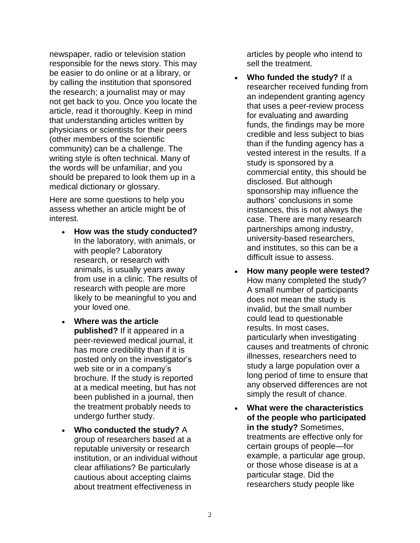newspaper, radio or television station responsible for the news story. This may be easier to do online or at a library, or by calling the institution that sponsored the research; a journalist may or may not get back to you. Once you locate the article, read it thoroughly. Keep in mind that understanding articles written by physicians or scientists for their peers (other members of the scientific community) can be a challenge. The writing style is often technical. Many of the words will be unfamiliar, and you should be prepared to look them up in a medical dictionary or glossary.

Here are some questions to help you assess whether an article might be of interest.

- **How was the study conducted?** In the laboratory, with animals, or with people? Laboratory research, or research with animals, is usually years away from use in a clinic. The results of research with people are more likely to be meaningful to you and your loved one.
- **Where was the article published?** If it appeared in a peer-reviewed medical journal, it has more credibility than if it is posted only on the investigator's web site or in a company's brochure. If the study is reported at a medical meeting, but has not been published in a journal, then the treatment probably needs to undergo further study.
- **Who conducted the study?** A group of researchers based at a reputable university or research institution, or an individual without clear affiliations? Be particularly cautious about accepting claims about treatment effectiveness in

articles by people who intend to sell the treatment.

- **Who funded the study?** If a researcher received funding from an independent granting agency that uses a peer-review process for evaluating and awarding funds, the findings may be more credible and less subject to bias than if the funding agency has a vested interest in the results. If a study is sponsored by a commercial entity, this should be disclosed. But although sponsorship may influence the authors' conclusions in some instances, this is not always the case. There are many research partnerships among industry, university-based researchers, and institutes, so this can be a difficult issue to assess.
- **How many people were tested?** How many completed the study? A small number of participants does not mean the study is invalid, but the small number could lead to questionable results. In most cases, particularly when investigating causes and treatments of chronic illnesses, researchers need to study a large population over a long period of time to ensure that any observed differences are not simply the result of chance.
- **What were the characteristics of the people who participated in the study?** Sometimes, treatments are effective only for certain groups of people—for example, a particular age group, or those whose disease is at a particular stage. Did the researchers study people like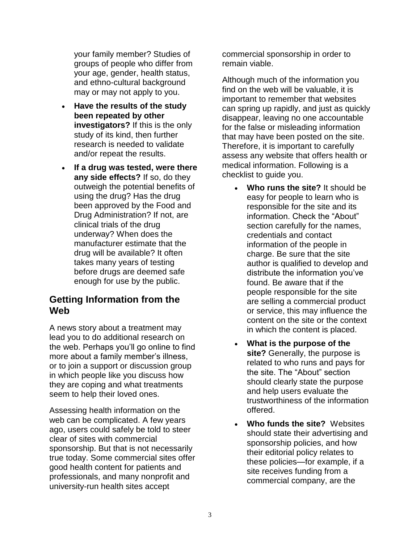your family member? Studies of groups of people who differ from your age, gender, health status, and ethno-cultural background may or may not apply to you.

- **Have the results of the study been repeated by other investigators?** If this is the only study of its kind, then further research is needed to validate and/or repeat the results.
- **If a drug was tested, were there any side effects?** If so, do they outweigh the potential benefits of using the drug? Has the drug been approved by the Food and Drug Administration? If not, are clinical trials of the drug underway? When does the manufacturer estimate that the drug will be available? It often takes many years of testing before drugs are deemed safe enough for use by the public.

## **Getting Information from the Web**

A news story about a treatment may lead you to do additional research on the web. Perhaps you'll go online to find more about a family member's illness, or to join a support or discussion group in which people like you discuss how they are coping and what treatments seem to help their loved ones.

Assessing health information on the web can be complicated. A few years ago, users could safely be told to steer clear of sites with commercial sponsorship. But that is not necessarily true today. Some commercial sites offer good health content for patients and professionals, and many nonprofit and university-run health sites accept

commercial sponsorship in order to remain viable.

Although much of the information you find on the web will be valuable, it is important to remember that websites can spring up rapidly, and just as quickly disappear, leaving no one accountable for the false or misleading information that may have been posted on the site. Therefore, it is important to carefully assess any website that offers health or medical information. Following is a checklist to guide you.

- **Who runs the site?** It should be easy for people to learn who is responsible for the site and its information. Check the "About" section carefully for the names, credentials and contact information of the people in charge. Be sure that the site author is qualified to develop and distribute the information you've found. Be aware that if the people responsible for the site are selling a commercial product or service, this may influence the content on the site or the context in which the content is placed.
- **What is the purpose of the site?** Generally, the purpose is related to who runs and pays for the site. The "About" section should clearly state the purpose and help users evaluate the trustworthiness of the information offered.
- **Who funds the site?** Websites should state their advertising and sponsorship policies, and how their editorial policy relates to these policies—for example, if a site receives funding from a commercial company, are the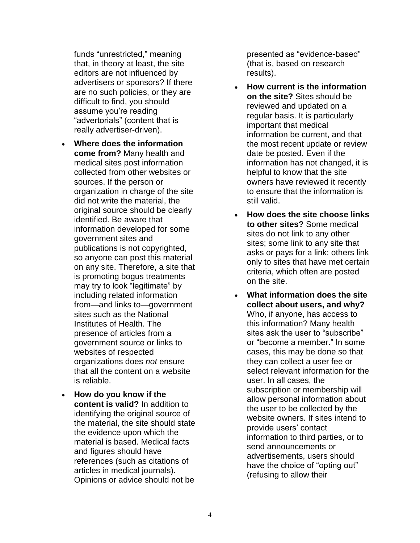funds "unrestricted," meaning that, in theory at least, the site editors are not influenced by advertisers or sponsors? If there are no such policies, or they are difficult to find, you should assume you're reading "advertorials" (content that is really advertiser-driven).

- **Where does the information come from?** Many health and medical sites post information collected from other websites or sources. If the person or organization in charge of the site did not write the material, the original source should be clearly identified. Be aware that information developed for some government sites and publications is not copyrighted, so anyone can post this material on any site. Therefore, a site that is promoting bogus treatments may try to look "legitimate" by including related information from—and links to—government sites such as the National Institutes of Health. The presence of articles from a government source or links to websites of respected organizations does *not* ensure that all the content on a website is reliable.
- **How do you know if the content is valid?** In addition to identifying the original source of the material, the site should state the evidence upon which the material is based. Medical facts and figures should have references (such as citations of articles in medical journals). Opinions or advice should not be

presented as "evidence-based" (that is, based on research results).

- **How current is the information on the site?** Sites should be reviewed and updated on a regular basis. It is particularly important that medical information be current, and that the most recent update or review date be posted. Even if the information has not changed, it is helpful to know that the site owners have reviewed it recently to ensure that the information is still valid.
- **How does the site choose links to other sites?** Some medical sites do not link to any other sites; some link to any site that asks or pays for a link; others link only to sites that have met certain criteria, which often are posted on the site.
- **What information does the site collect about users, and why?** Who, if anyone, has access to this information? Many health sites ask the user to "subscribe" or "become a member." In some cases, this may be done so that they can collect a user fee or select relevant information for the user. In all cases, the subscription or membership will allow personal information about the user to be collected by the website owners. If sites intend to provide users' contact information to third parties, or to send announcements or advertisements, users should have the choice of "opting out" (refusing to allow their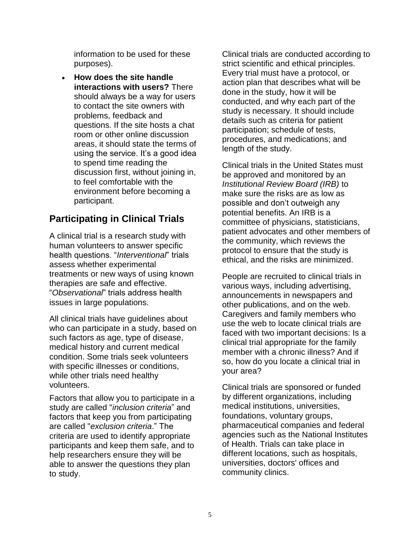information to be used for these purposes).

• **How does the site handle interactions with users?** There should always be a way for users to contact the site owners with problems, feedback and questions. If the site hosts a chat room or other online discussion areas, it should state the terms of using the service. It's a good idea to spend time reading the discussion first, without joining in, to feel comfortable with the environment before becoming a participant.

## **Participating in Clinical Trials**

A clinical trial is a research study with human volunteers to answer specific health questions. "*Interventional*" trials assess whether experimental treatments or new ways of using known therapies are safe and effective. "*Observational*" trials address health issues in large populations.

All clinical trials have guidelines about who can participate in a study, based on such factors as age, type of disease, medical history and current medical condition. Some trials seek volunteers with specific illnesses or conditions, while other trials need healthy volunteers.

Factors that allow you to participate in a study are called "*inclusion criteria*" and factors that keep you from participating are called "*exclusion criteria*." The criteria are used to identify appropriate participants and keep them safe, and to help researchers ensure they will be able to answer the questions they plan to study.

Clinical trials are conducted according to strict scientific and ethical principles. Every trial must have a protocol, or action plan that describes what will be done in the study, how it will be conducted, and why each part of the study is necessary. It should include details such as criteria for patient participation; schedule of tests, procedures, and medications; and length of the study.

Clinical trials in the United States must be approved and monitored by an *Institutional Review Board (IRB)* to make sure the risks are as low as possible and don't outweigh any potential benefits. An IRB is a committee of physicians, statisticians, patient advocates and other members of the community, which reviews the protocol to ensure that the study is ethical, and the risks are minimized.

People are recruited to clinical trials in various ways, including advertising, announcements in newspapers and other publications, and on the web. Caregivers and family members who use the web to locate clinical trials are faced with two important decisions: Is a clinical trial appropriate for the family member with a chronic illness? And if so, how do you locate a clinical trial in your area?

Clinical trials are sponsored or funded by different organizations, including medical institutions, universities, foundations, voluntary groups, pharmaceutical companies and federal agencies such as the National Institutes of Health. Trials can take place in different locations, such as hospitals, universities, doctors' offices and community clinics.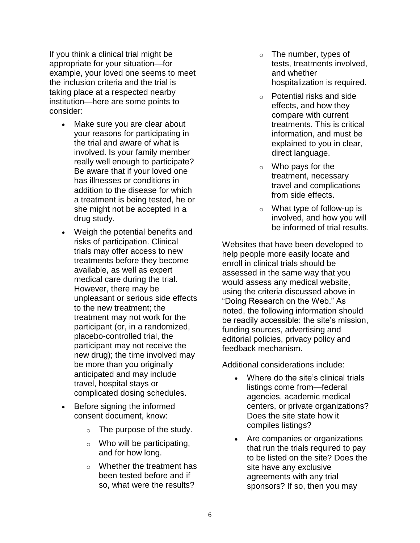If you think a clinical trial might be appropriate for your situation—for example, your loved one seems to meet the inclusion criteria and the trial is taking place at a respected nearby institution—here are some points to consider:

- Make sure you are clear about your reasons for participating in the trial and aware of what is involved. Is your family member really well enough to participate? Be aware that if your loved one has illnesses or conditions in addition to the disease for which a treatment is being tested, he or she might not be accepted in a drug study.
- Weigh the potential benefits and risks of participation. Clinical trials may offer access to new treatments before they become available, as well as expert medical care during the trial. However, there may be unpleasant or serious side effects to the new treatment; the treatment may not work for the participant (or, in a randomized, placebo-controlled trial, the participant may not receive the new drug); the time involved may be more than you originally anticipated and may include travel, hospital stays or complicated dosing schedules.
- Before signing the informed consent document, know:
	- $\circ$  The purpose of the study.
	- $\circ$  Who will be participating, and for how long.
	- o Whether the treatment has been tested before and if so, what were the results?
- $\circ$  The number, types of tests, treatments involved, and whether hospitalization is required.
- o Potential risks and side effects, and how they compare with current treatments. This is critical information, and must be explained to you in clear, direct language.
- $\circ$  Who pays for the treatment, necessary travel and complications from side effects.
- o What type of follow-up is involved, and how you will be informed of trial results.

Websites that have been developed to help people more easily locate and enroll in clinical trials should be assessed in the same way that you would assess any medical website, using the criteria discussed above in "Doing Research on the Web." As noted, the following information should be readily accessible: the site's mission, funding sources, advertising and editorial policies, privacy policy and feedback mechanism.

Additional considerations include:

- Where do the site's clinical trials listings come from—federal agencies, academic medical centers, or private organizations? Does the site state how it compiles listings?
- Are companies or organizations that run the trials required to pay to be listed on the site? Does the site have any exclusive agreements with any trial sponsors? If so, then you may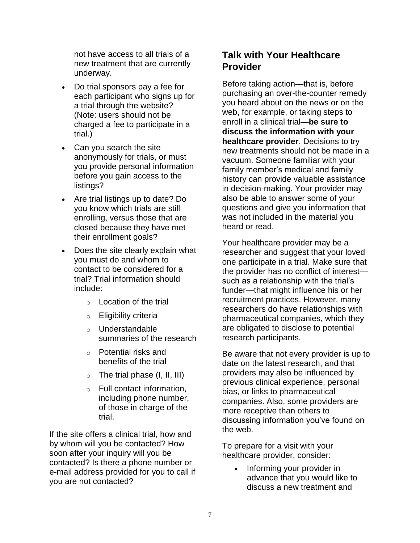not have access to all trials of a new treatment that are currently underway.

- Do trial sponsors pay a fee for each participant who signs up for a trial through the website? (Note: users should not be charged a fee to participate in a trial.)
- Can you search the site anonymously for trials, or must you provide personal information before you gain access to the listings?
- Are trial listings up to date? Do you know which trials are still enrolling, versus those that are closed because they have met their enrollment goals?
- Does the site clearly explain what you must do and whom to contact to be considered for a trial? Trial information should include:
	- o Location of the trial
	- o Eligibility criteria
	- o Understandable summaries of the research
	- o Potential risks and benefits of the trial
	- $\circ$  The trial phase (I, II, III)
	- o Full contact information, including phone number, of those in charge of the trial.

If the site offers a clinical trial, how and by whom will you be contacted? How soon after your inquiry will you be contacted? Is there a phone number or e-mail address provided for you to call if you are not contacted?

## **Talk with Your Healthcare Provider**

Before taking action—that is, before purchasing an over-the-counter remedy you heard about on the news or on the web, for example, or taking steps to enroll in a clinical trial—**be sure to discuss the information with your healthcare provider**. Decisions to try new treatments should not be made in a vacuum. Someone familiar with your family member's medical and family history can provide valuable assistance in decision-making. Your provider may also be able to answer some of your questions and give you information that was not included in the material you heard or read.

Your healthcare provider may be a researcher and suggest that your loved one participate in a trial. Make sure that the provider has no conflict of interest such as a relationship with the trial's funder—that might influence his or her recruitment practices. However, many researchers do have relationships with pharmaceutical companies, which they are obligated to disclose to potential research participants.

Be aware that not every provider is up to date on the latest research, and that providers may also be influenced by previous clinical experience, personal bias, or links to pharmaceutical companies. Also, some providers are more receptive than others to discussing information you've found on the web.

To prepare for a visit with your healthcare provider, consider:

> • Informing your provider in advance that you would like to discuss a new treatment and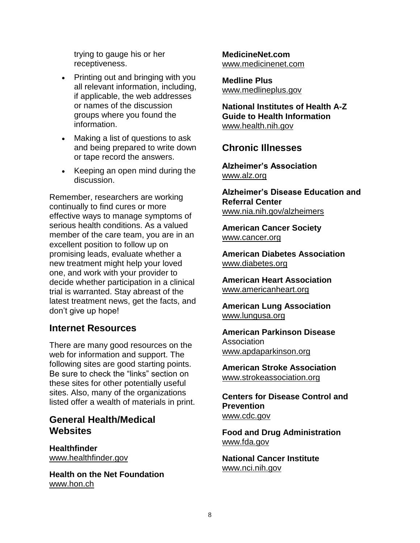trying to gauge his or her receptiveness.

- Printing out and bringing with you all relevant information, including, if applicable, the web addresses or names of the discussion groups where you found the information.
- Making a list of questions to ask and being prepared to write down or tape record the answers.
- Keeping an open mind during the discussion.

Remember, researchers are working continually to find cures or more effective ways to manage symptoms of serious health conditions. As a valued member of the care team, you are in an excellent position to follow up on promising leads, evaluate whether a new treatment might help your loved one, and work with your provider to decide whether participation in a clinical trial is warranted. Stay abreast of the latest treatment news, get the facts, and don't give up hope!

#### **Internet Resources**

There are many good resources on the web for information and support. The following sites are good starting points. Be sure to check the "links" section on these sites for other potentially useful sites. Also, many of the organizations listed offer a wealth of materials in print.

### **General Health/Medical Websites**

**Healthfinder** [www.healthfinder.gov](http://www.healthfinder.gov/)

**Health on the Net Foundation** [www.hon.ch](http://www.hon.ch/)

**MedicineNet.com** [www.medicinenet.com](http://www.medicinenet.com/)

**Medline Plus** [www.medlineplus.gov](http://medlineplus.gov/)

**National Institutes of Health A-Z Guide to Health Information** [www.health.nih.gov](http://health.nih.gov/)

### **Chronic Illnesses**

**Alzheimer's Association** [www.alz.org](http://www.alz.org/)

**Alzheimer's Disease Education and Referral Center** [www.nia.nih.gov/alzheimers](https://www.nia.nih.gov/alzheimers)

**American Cancer Society** [www.cancer.org](http://www.cancer.org/)

**American Diabetes Association** [www.diabetes.org](http://www.diabetes.org/)

**American Heart Association** [www.americanheart.org](http://www.americanheart.org/)

**American Lung Association** [www.lungusa.org](http://www.lungusa.org/)

**American Parkinson Disease** Association [www.apdaparkinson.org](http://www.apdaparkinson.org/)

**American Stroke Association** [www.strokeassociation.org](http://www.strokeassociation.org/)

**Centers for Disease Control and Prevention** [www.cdc.gov](http://www.cdc.gov/)

**Food and Drug Administration** [www.fda.gov](http://www.fda.gov/)

**National Cancer Institute** [www.nci.nih.gov](http://www.nci.nih.gov/)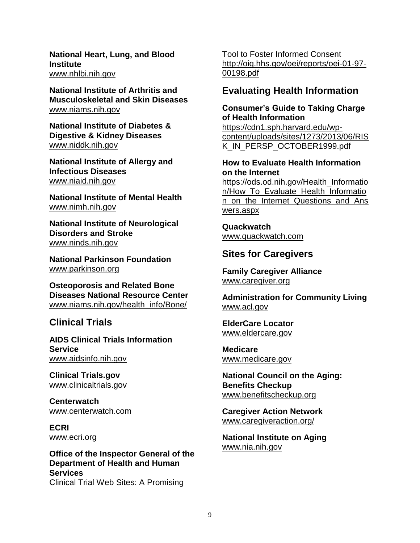**National Heart, Lung, and Blood Institute** [www.nhlbi.nih.gov](http://www.nhlbi.nih.gov/)

**National Institute of Arthritis and Musculoskeletal and Skin Diseases** [www.niams.nih.gov](http://www.niams.nih.gov/)

**National Institute of Diabetes & Digestive & Kidney Diseases** [www.niddk.nih.gov](http://www.niddk.nih.gov/)

**National Institute of Allergy and Infectious Diseases** [www.niaid.nih.gov](http://www.niaid.nih.gov/)

**National Institute of Mental Health** [www.nimh.nih.gov](http://www.nimh.nih.gov/)

**National Institute of Neurological Disorders and Stroke** [www.ninds.nih.gov](http://www.ninds.nih.gov/)

**National Parkinson Foundation** [www.parkinson.org](http://www.parkinson.org/)

**Osteoporosis and Related Bone Diseases National Resource Center** [www.niams.nih.gov/health\\_info/Bone/](https://www.niams.nih.gov/health_info/Bone/)

## **Clinical Trials**

**AIDS Clinical Trials Information Service** [www.aidsinfo.nih.gov](http://www.aidsinfo.nih.gov/)

**Clinical Trials.gov** [www.clinicaltrials.gov](http://www.clinicaltrials.gov/)

**Centerwatch** www.centerwatch.com

**ECRI** www.ecri.org

**Office of the Inspector General of the Department of Health and Human Services** Clinical Trial Web Sites: A Promising

Tool to Foster Informed Consent [http://oig.hhs.gov/oei/reports/oei-01-97-](http://oig.hhs.gov/oei/reports/oei-01-97-00198.pdf) [00198.pdf](http://oig.hhs.gov/oei/reports/oei-01-97-00198.pdf)

### **Evaluating Health Information**

#### **Consumer's Guide to Taking Charge of Health Information**

https://cdn1.sph.harvard.edu/wpcontent/uploads/sites/1273/2013/06/RIS K\_IN\_PERSP\_OCTOBER1999.pdf

#### **How to Evaluate Health Information on the Internet**

https://ods.od.nih.gov/Health\_Informatio n/How\_To\_Evaluate\_Health\_Informatio n\_on\_the\_Internet\_Questions\_and\_Ans wers.aspx

**Quackwatch** [www.quackwatch.com](http://www.quackwatch.com/)

## **Sites for Caregivers**

**Family Caregiver Alliance** [www.caregiver.org](http://www.caregiver.org/)

**Administration for Community Living** [www.acl.gov](http://www.acl.gov/)

**ElderCare Locator** [www.eldercare.gov](http://www.eldercare.gov/)

**Medicare** [www.medicare.gov](http://www.medicare.gov/)

**National Council on the Aging: Benefits Checkup** [www.benefitscheckup.org](http://www.benefitscheckup.org/)

**Caregiver Action Network** [www.caregiveraction.org/](http://caregiveraction.org/)

**National Institute on Aging** [www.nia.nih.gov](http://www.nia.nih.gov/)